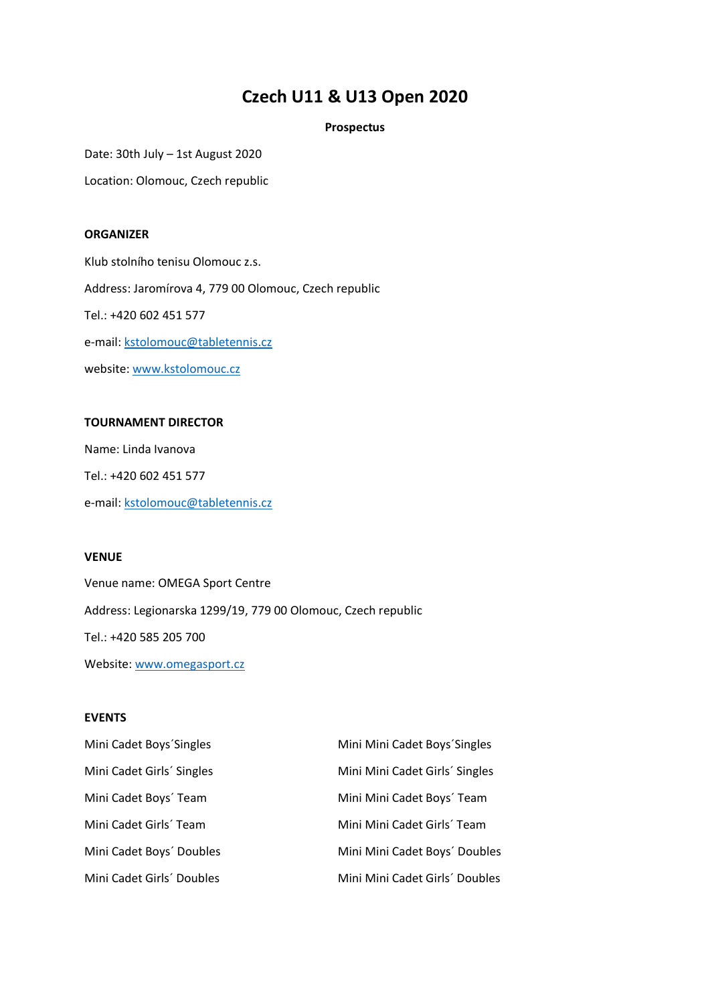# **Czech U11 & U13 Open 2020**

## **Prospectus**

Date: 30th July – 1st August 2020

Location: Olomouc, Czech republic

## **ORGANIZER**

Klub stolního tenisu Olomouc z.s. Address: Jaromírova 4, 779 00 Olomouc, Czech republic Tel.: +420 602 451 577 e-mail: kstolomouc@tabletennis.cz website: [www.kstolomouc.cz](http://www.kstolomouc.cz/)

## **TOURNAMENT DIRECTOR**

Name: Linda Ivanova Tel.: +420 602 451 577 e-mail: [kstolomouc@tabletennis.cz](mailto:kstolomouc@tabletennis.cz)

## **VENUE**

Venue name: OMEGA Sport Centre Address: Legionarska 1299/19, 779 00 Olomouc, Czech republic Tel.: +420 585 205 700 Website: [www.omegasport.cz](http://www.omegasport.cz/)

## **EVENTS**

| Mini Cadet Boys'Singles   | Mini Mini Cadet Boys' Singles  |
|---------------------------|--------------------------------|
| Mini Cadet Girls' Singles | Mini Mini Cadet Girls' Singles |
| Mini Cadet Boys' Team     | Mini Mini Cadet Boys' Team     |
| Mini Cadet Girls' Team    | Mini Mini Cadet Girls' Team    |
| Mini Cadet Boys' Doubles  | Mini Mini Cadet Boys' Doubles  |
| Mini Cadet Girls' Doubles | Mini Mini Cadet Girls' Doubles |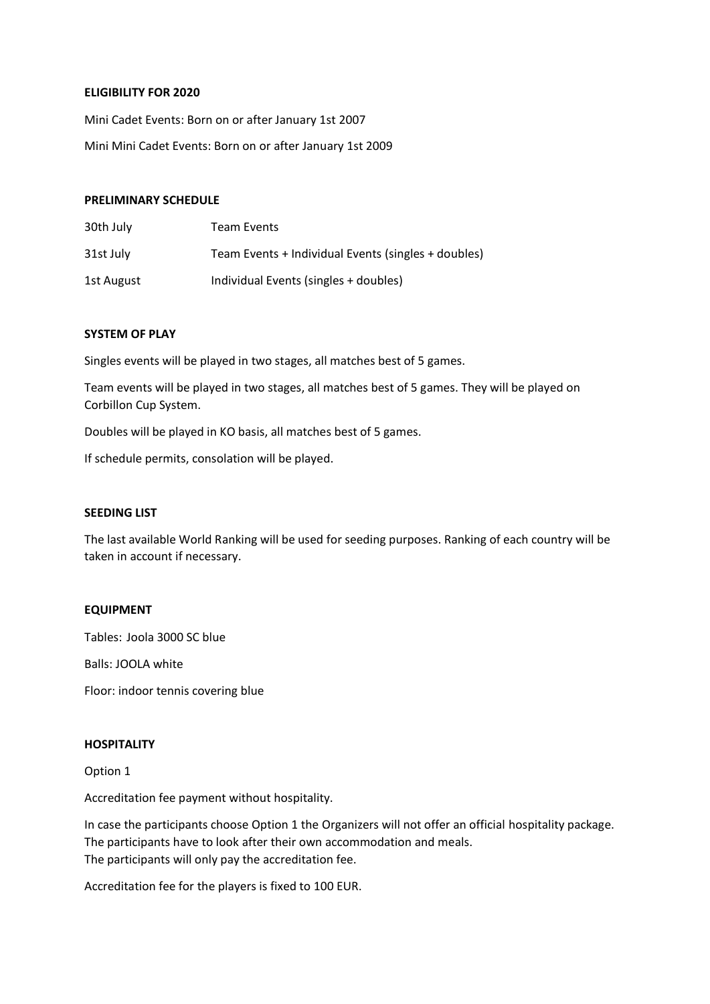## **ELIGIBILITY FOR 2020**

Mini Cadet Events: Born on or after January 1st 2007 Mini Mini Cadet Events: Born on or after January 1st 2009

#### **PRELIMINARY SCHEDULE**

| 30th July  | Team Events                                         |
|------------|-----------------------------------------------------|
| 31st July  | Team Events + Individual Events (singles + doubles) |
| 1st August | Individual Events (singles + doubles)               |

## **SYSTEM OF PLAY**

Singles events will be played in two stages, all matches best of 5 games.

Team events will be played in two stages, all matches best of 5 games. They will be played on Corbillon Cup System.

Doubles will be played in KO basis, all matches best of 5 games.

If schedule permits, consolation will be played.

#### **SEEDING LIST**

The last available World Ranking will be used for seeding purposes. Ranking of each country will be taken in account if necessary.

#### **EQUIPMENT**

Tables: Joola 3000 SC blue

Balls: JOOLA white

Floor: indoor tennis covering blue

## **HOSPITALITY**

Option 1

Accreditation fee payment without hospitality.

In case the participants choose Option 1 the Organizers will not offer an official hospitality package. The participants have to look after their own accommodation and meals. The participants will only pay the accreditation fee.

Accreditation fee for the players is fixed to 100 EUR.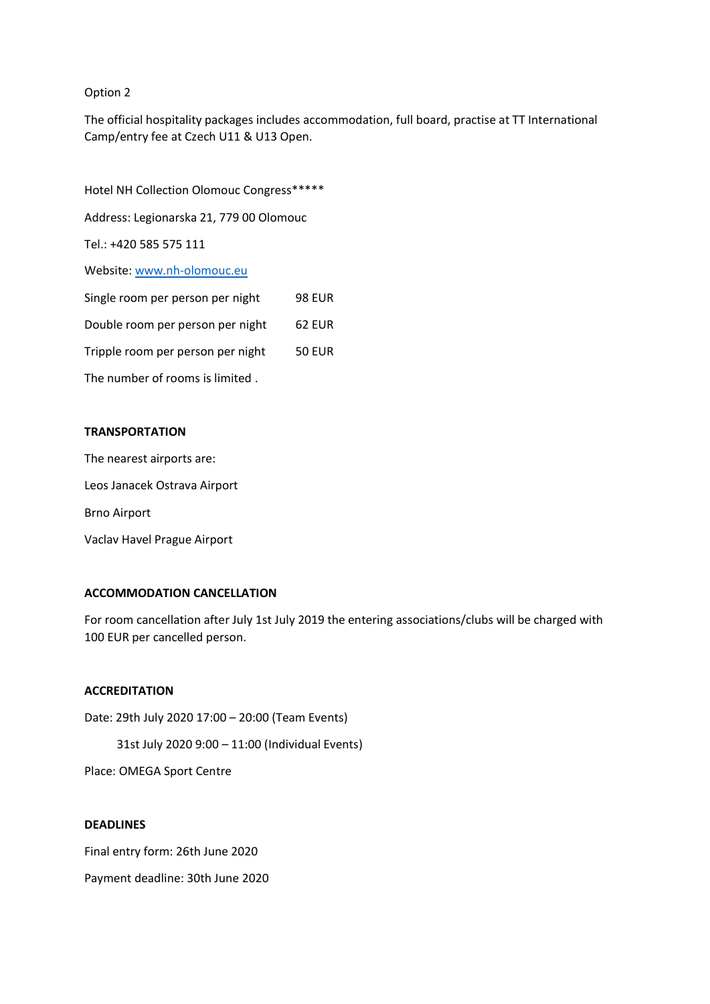## Option 2

The official hospitality packages includes accommodation, full board, practise at TT International Camp/entry fee at Czech U11 & U13 Open.

Hotel NH Collection Olomouc Congress\*\*\*\*\* Address: Legionarska 21, 779 00 Olomouc Tel.: +420 585 575 111 Website: www.nh-olomouc.eu Single room per person per night 98 EUR Double room per person per night 62 EUR Tripple room per person per night 50 EUR The number of rooms is limited .

## **TRANSPORTATION**

The nearest airports are:

Leos Janacek Ostrava Airport

Brno Airport

Vaclav Havel Prague Airport

## **ACCOMMODATION CANCELLATION**

For room cancellation after July 1st July 2019 the entering associations/clubs will be charged with 100 EUR per cancelled person.

# **ACCREDITATION**

Date: 29th July 2020 17:00 – 20:00 (Team Events) 31st July 2020 9:00 – 11:00 (Individual Events) Place: OMEGA Sport Centre

## **DEADLINES**

Final entry form: 26th June 2020

Payment deadline: 30th June 2020